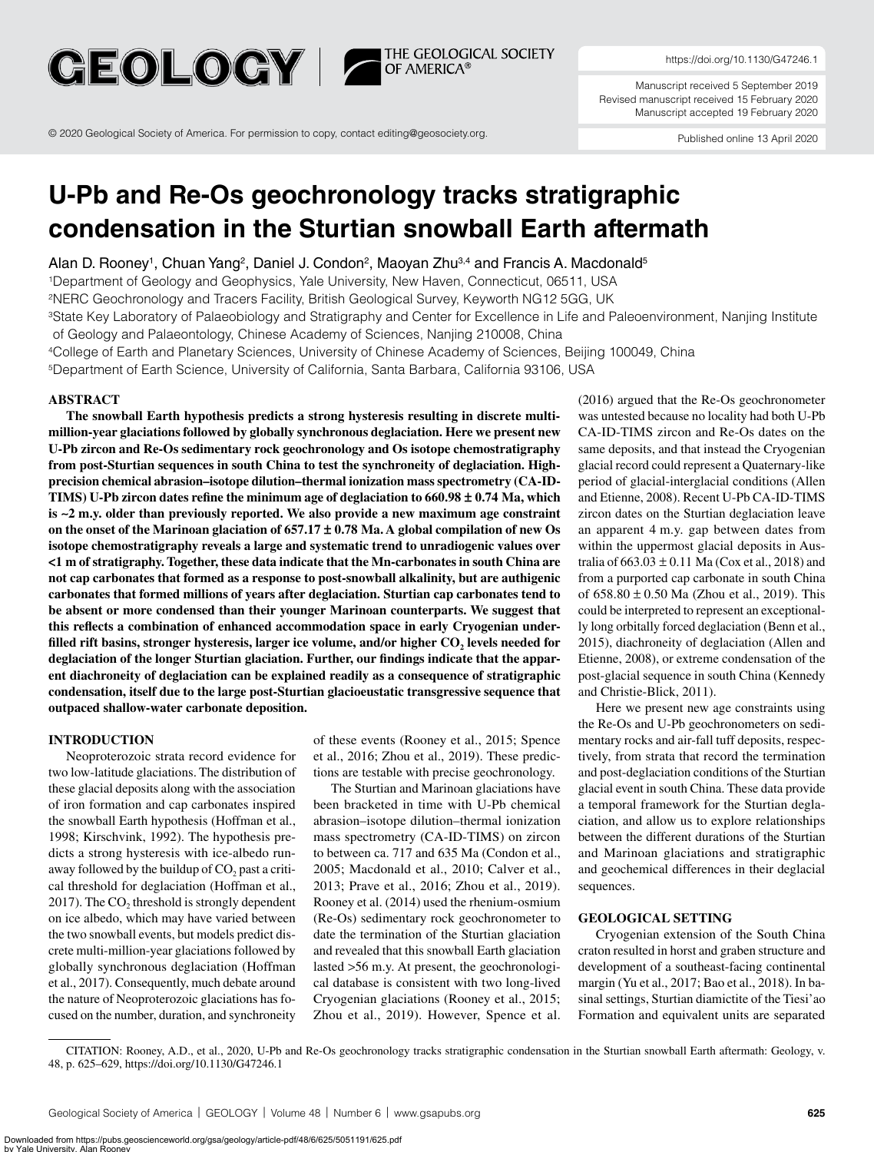

THE GEOLOGICAL SOCIETY<br>OF AMERICA®

https://doi.org/10.1130/G47246.1

Manuscript received 5 September 2019 Revised manuscript received 15 February 2020 Manuscript accepted 19 February 2020

© 2020 Geological Society of America. For permission to copy, contact editing@geosociety.org.

Published online 13 April 2020

# **U-Pb and Re-Os geochronology tracks stratigraphic condensation in the Sturtian snowball Earth aftermath**

Alan D. Rooney<sup>1</sup>, Chuan Yang<sup>2</sup>, Daniel J. Condon<sup>2</sup>, Maoyan Zhu<sup>3,4</sup> and Francis A. Macdonald<sup>5</sup>

1Department of Geology and Geophysics, Yale University, New Haven, Connecticut, 06511, USA

2NERC Geochronology and Tracers Facility, British Geological Survey, Keyworth NG12 5GG, UK

<sup>3</sup>State Key Laboratory of Palaeobiology and Stratigraphy and Center for Excellence in Life and Paleoenvironment, Nanjing Institute

of Geology and Palaeontology, Chinese Academy of Sciences, Nanjing 210008, China

4College of Earth and Planetary Sciences, University of Chinese Academy of Sciences, Beijing 100049, China

5Department of Earth Science, University of California, Santa Barbara, California 93106, USA

## **ABSTRACT**

**The snowball Earth hypothesis predicts a strong hysteresis resulting in discrete multimillion-year glaciations followed by globally synchronous deglaciation. Here we present new U-Pb zircon and Re-Os sedimentary rock geochronology and Os isotope chemostratigraphy from post-Sturtian sequences in south China to test the synchroneity of deglaciation. Highprecision chemical abrasion–isotope dilution–thermal ionization mass spectrometry (CA-ID-TIMS) U-Pb zircon dates refine the minimum age of deglaciation to 660.98 ± 0.74 Ma, which is ∼2 m.y. older than previously reported. We also provide a new maximum age constraint on the onset of the Marinoan glaciation of 657.17 ± 0.78 Ma. A global compilation of new Os isotope chemostratigraphy reveals a large and systematic trend to unradiogenic values over <1 m of stratigraphy. Together, these data indicate that the Mn-carbonates in south China are not cap carbonates that formed as a response to post-snowball alkalinity, but are authigenic carbonates that formed millions of years after deglaciation. Sturtian cap carbonates tend to be absent or more condensed than their younger Marinoan counterparts. We suggest that this reflects a combination of enhanced accommodation space in early Cryogenian under**filled rift basins, stronger hysteresis, larger ice volume, and/or higher CO<sub>2</sub> levels needed for **deglaciation of the longer Sturtian glaciation. Further, our findings indicate that the apparent diachroneity of deglaciation can be explained readily as a consequence of stratigraphic condensation, itself due to the large post-Sturtian glacioeustatic transgressive sequence that outpaced shallow-water carbonate deposition.**

## **INTRODUCTION**

Neoproterozoic strata record evidence for two low-latitude glaciations. The distribution of these glacial deposits along with the association of iron formation and cap carbonates inspired the snowball Earth hypothesis (Hoffman et al., 1998; Kirschvink, 1992). The hypothesis predicts a strong hysteresis with ice-albedo runaway followed by the buildup of  $CO<sub>2</sub>$  past a critical threshold for deglaciation (Hoffman et al., 2017). The  $CO<sub>2</sub>$  threshold is strongly dependent on ice albedo, which may have varied between the two snowball events, but models predict discrete multi-million-year glaciations followed by globally synchronous deglaciation (Hoffman et al., 2017). Consequently, much debate around the nature of Neoproterozoic glaciations has focused on the number, duration, and synchroneity

of these events (Rooney et al., 2015; Spence et al., 2016; Zhou et al., 2019). These predictions are testable with precise geochronology.

The Sturtian and Marinoan glaciations have been bracketed in time with U-Pb chemical abrasion–isotope dilution–thermal ionization mass spectrometry (CA-ID-TIMS) on zircon to between ca. 717 and 635 Ma (Condon et al., 2005; Macdonald et al., 2010; Calver et al., 2013; Prave et al., 2016; Zhou et al., 2019). Rooney et al. (2014) used the rhenium-osmium (Re-Os) sedimentary rock geochronometer to date the termination of the Sturtian glaciation and revealed that this snowball Earth glaciation lasted >56 m.y. At present, the geochronological database is consistent with two long-lived Cryogenian glaciations (Rooney et al., 2015; Zhou et al., 2019). However, Spence et al.

(2016) argued that the Re-Os geochronometer was untested because no locality had both U-Pb CA-ID-TIMS zircon and Re-Os dates on the same deposits, and that instead the Cryogenian glacial record could represent a Quaternary-like period of glacial-interglacial conditions (Allen and Etienne, 2008). Recent U-Pb CA-ID-TIMS zircon dates on the Sturtian deglaciation leave an apparent 4 m.y. gap between dates from within the uppermost glacial deposits in Australia of  $663.03 \pm 0.11$  Ma (Cox et al., 2018) and from a purported cap carbonate in south China of  $658.80 \pm 0.50$  Ma (Zhou et al., 2019). This could be interpreted to represent an exceptionally long orbitally forced deglaciation (Benn et al., 2015), diachroneity of deglaciation (Allen and Etienne, 2008), or extreme condensation of the post-glacial sequence in south China (Kennedy and Christie-Blick, 2011).

Here we present new age constraints using the Re-Os and U-Pb geochronometers on sedimentary rocks and air-fall tuff deposits, respectively, from strata that record the termination and post-deglaciation conditions of the Sturtian glacial event in south China. These data provide a temporal framework for the Sturtian deglaciation, and allow us to explore relationships between the different durations of the Sturtian and Marinoan glaciations and stratigraphic and geochemical differences in their deglacial sequences.

### **GEOLOGICAL SETTING**

Cryogenian extension of the South China craton resulted in horst and graben structure and development of a southeast-facing continental margin (Yu et al., 2017; Bao et al., 2018). In basinal settings, Sturtian diamictite of the Tiesi'ao Formation and equivalent units are separated

CITATION: Rooney, A.D., et al., 2020, U-Pb and Re-Os geochronology tracks stratigraphic condensation in the Sturtian snowball Earth aftermath: Geology, v. 48, p. 625–629, https://doi.org/10.1130/G47246.1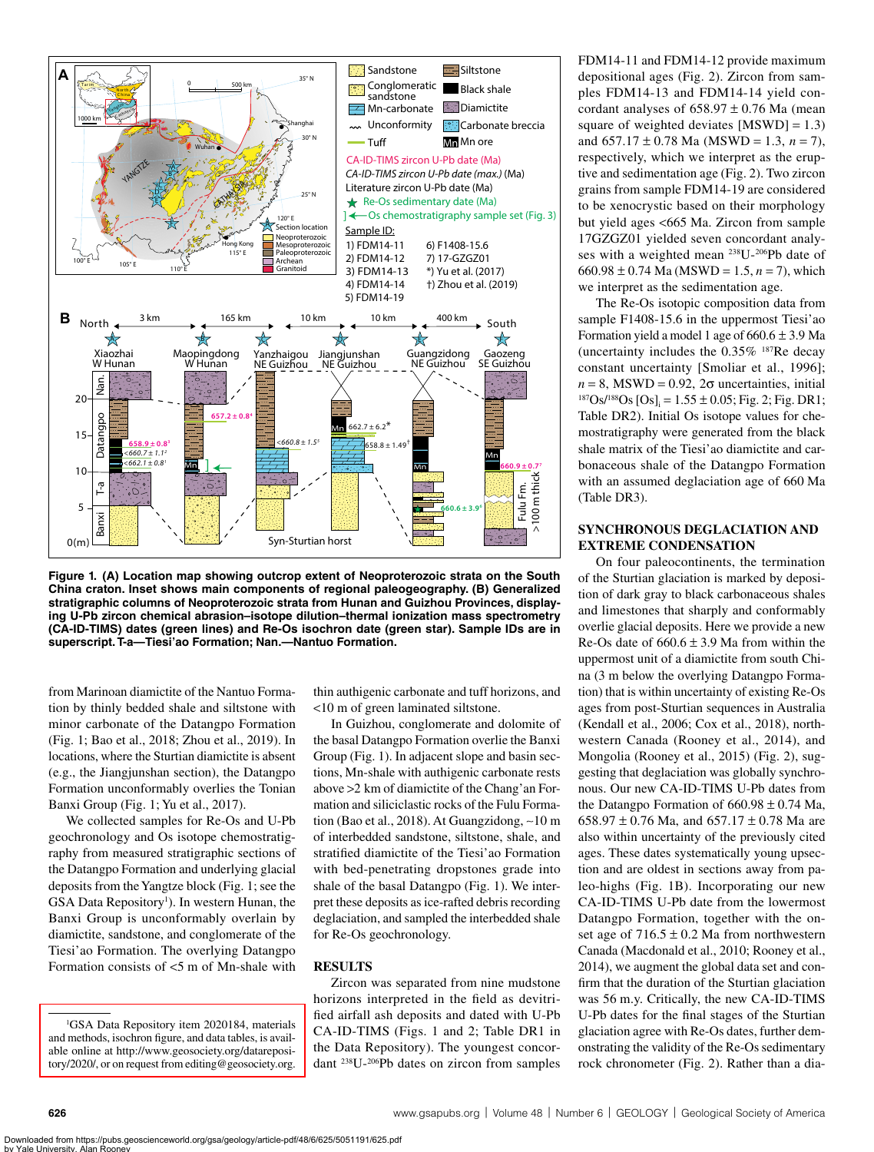

<span id="page-1-0"></span>**Figure 1. (A) Location map showing outcrop extent of Neoproterozoic strata on the South China craton. Inset shows main components of regional paleogeography. (B) Generalized stratigraphic columns of Neoproterozoic strata from Hunan and Guizhou Provinces, displaying U-Pb zircon chemical abrasion–isotope dilution–thermal ionization mass spectrometry (CA-ID-TIMS) dates (green lines) and Re-Os isochron date (green star). Sample IDs are in superscript. T-a—Tiesi'ao Formation; Nan.—Nantuo Formation.**

from Marinoan diamictite of the Nantuo Formation by thinly bedded shale and siltstone with minor carbonate of the Datangpo Formation ([Fig. 1](#page-1-0); Bao et al., 2018; Zhou et al., 2019). In locations, where the Sturtian diamictite is absent (e.g., the Jiangjunshan section), the Datangpo Formation unconformably overlies the Tonian Banxi Group ([Fig. 1;](#page-1-0) Yu et al., 2017).

We collected samples for Re-Os and U-Pb geochronology and Os isotope chemostratigraphy from measured stratigraphic sections of the Datangpo Formation and underlying glacial deposits from the Yangtze block ([Fig. 1](#page-1-0); see the GSA Data Repository<sup>[1](#page-1-1)</sup>). In western Hunan, the Banxi Group is unconformably overlain by diamictite, sandstone, and conglomerate of the Tiesi'ao Formation. The overlying Datangpo Formation consists of <5 m of Mn-shale with

thin authigenic carbonate and tuff horizons, and <10 m of green laminated siltstone.

In Guizhou, conglomerate and dolomite of the basal Datangpo Formation overlie the Banxi Group ([Fig. 1\)](#page-1-0). In adjacent slope and basin sections, Mn-shale with authigenic carbonate rests above >2 km of diamictite of the Chang'an Formation and siliciclastic rocks of the Fulu Formation (Bao et al., 2018). At Guangzidong, ∼10 m of interbedded sandstone, siltstone, shale, and stratified diamictite of the Tiesi'ao Formation with bed-penetrating dropstones grade into shale of the basal Datangpo ([Fig. 1](#page-1-0)). We interpret these deposits as ice-rafted debris recording deglaciation, and sampled the interbedded shale for Re-Os geochronology.

## **RESULTS**

Zircon was separated from nine mudstone horizons interpreted in the field as devitrified airfall ash deposits and dated with U-Pb CA-ID-TIMS [\(Figs. 1](#page-1-0) and [2;](#page-2-0) Table DR1 in the Data Repository). The youngest concordant 238U-206Pb dates on zircon from samples

FDM14-11 and FDM14-12 provide maximum depositional ages ([Fig. 2](#page-2-0)). Zircon from samples FDM14-13 and FDM14-14 yield concordant analyses of  $658.97 \pm 0.76$  Ma (mean square of weighted deviates  $[MSWD] = 1.3$ ) and  $657.17 \pm 0.78$  Ma (MSWD = 1.3,  $n = 7$ ), respectively, which we interpret as the eruptive and sedimentation age ([Fig. 2\)](#page-2-0). Two zircon grains from sample FDM14-19 are considered to be xenocrystic based on their morphology but yield ages <665 Ma. Zircon from sample 17GZGZ01 yielded seven concordant analyses with a weighted mean 238U-206Pb date of 660.98  $\pm$  0.74 Ma (MSWD = 1.5, *n* = 7), which we interpret as the sedimentation age.

The Re-Os isotopic composition data from sample F1408-15.6 in the uppermost Tiesi'ao Formation yield a model 1 age of  $660.6 \pm 3.9$  Ma (uncertainty includes the 0.35% 187Re decay constant uncertainty [Smoliar et al., 1996]; *n* = 8, MSWD = 0.92, 2 $\sigma$  uncertainties, initial <sup>187</sup>Os/<sup>188</sup>Os [Os]<sub>i</sub> = 1.55 ± 0.05; Fig. 2; Fig. DR1; Table DR2). Initial Os isotope values for chemostratigraphy were generated from the black shale matrix of the Tiesi'ao diamictite and carbonaceous shale of the Datangpo Formation with an assumed deglaciation age of 660 Ma (Table DR3).

## **SYNCHRONOUS DEGLACIATION AND EXTREME CONDENSATION**

On four paleocontinents, the termination of the Sturtian glaciation is marked by deposition of dark gray to black carbonaceous shales and limestones that sharply and conformably overlie glacial deposits. Here we provide a new Re-Os date of  $660.6 \pm 3.9$  Ma from within the uppermost unit of a diamictite from south China (3 m below the overlying Datangpo Formation) that is within uncertainty of existing Re-Os ages from post-Sturtian sequences in Australia (Kendall et al., 2006; Cox et al., 2018), northwestern Canada (Rooney et al., 2014), and Mongolia (Rooney et al., 2015) [\(Fig. 2](#page-2-0)), suggesting that deglaciation was globally synchronous. Our new CA-ID-TIMS U-Pb dates from the Datangpo Formation of  $660.98 \pm 0.74$  Ma, 658.97  $\pm$  0.76 Ma, and 657.17  $\pm$  0.78 Ma are also within uncertainty of the previously cited ages. These dates systematically young upsection and are oldest in sections away from paleo-highs [\(Fig. 1B\)](#page-1-0). Incorporating our new CA-ID-TIMS U-Pb date from the lowermost Datangpo Formation, together with the onset age of  $716.5 \pm 0.2$  Ma from northwestern Canada (Macdonald et al., 2010; Rooney et al., 2014), we augment the global data set and confirm that the duration of the Sturtian glaciation was 56 m.y. Critically, the new CA-ID-TIMS U-Pb dates for the final stages of the Sturtian glaciation agree with Re-Os dates, further demonstrating the validity of the Re-Os sedimentary rock chronometer [\(Fig. 2](#page-2-0)). Rather than a dia-

<span id="page-1-1"></span><sup>1</sup> GSA Data Repository item 2020184, materials and methods, isochron figure, and data tables, is avail[able online at http://www.geosociety.org/datareposi](http://www.geosociety.org/datarepository/2020/)[tory/2020/](http://www.geosociety.org/datarepository/2020/), or on request from editing@geosociety.org.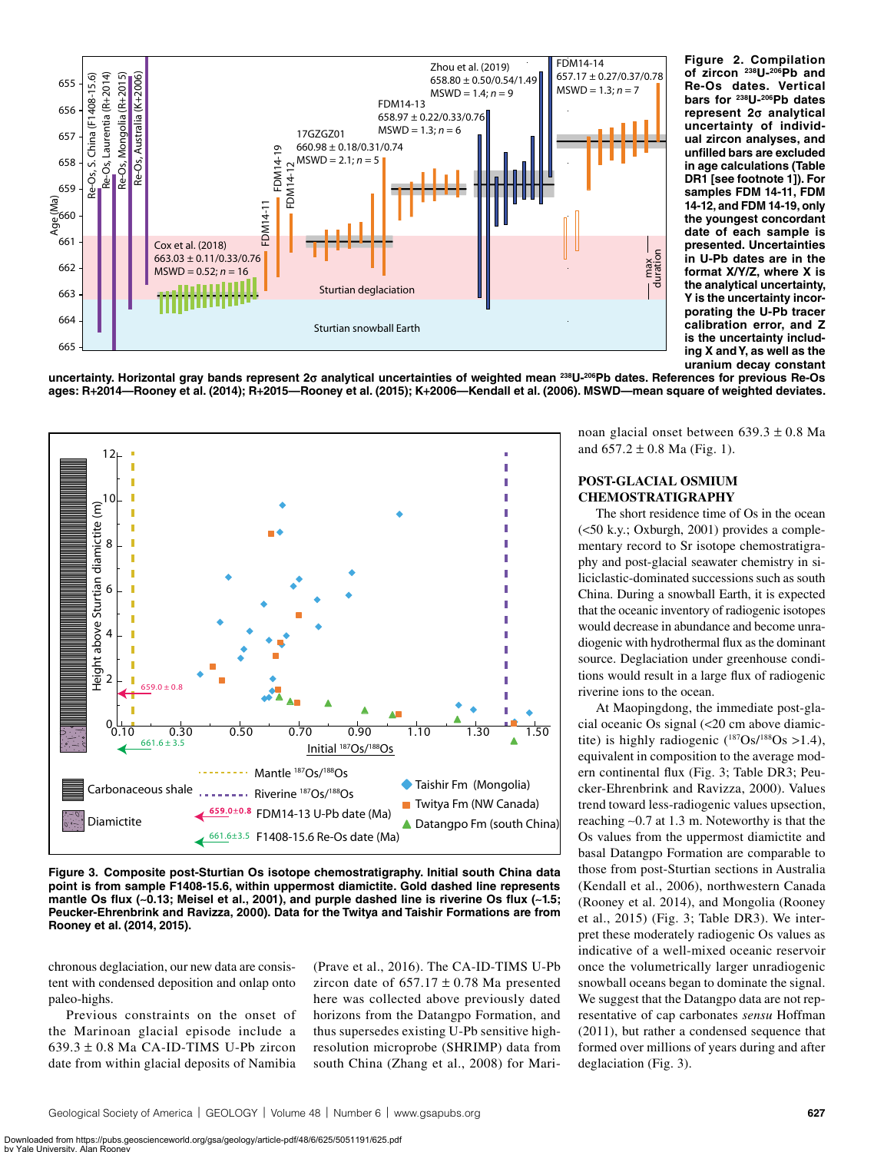

<span id="page-2-0"></span>**Figure 2. Compilation of zircon 238U-206Pb and Re-Os dates. Vertical bars for 238U-206Pb dates represent 2σ analytical uncertainty of individual zircon analyses, and unfilled bars are excluded in age calculations (Table DR1 [see footnote 1]). For samples FDM 14-11, FDM 14-12, and FDM 14-19, only the youngest concordant date of each sample is presented. Uncertainties in U-Pb dates are in the format X/Y/Z, where X is the analytical uncertainty, Y is the uncertainty incorporating the U-Pb tracer calibration error, and Z is the uncertainty including X and Y, as well as the uranium decay constant** 

**uncertainty. Horizontal gray bands represent 2σ analytical uncertainties of weighted mean 238U-206Pb dates. References for previous Re-Os ages: R+2014—Rooney et al. (2014); R+2015—Rooney et al. (2015); K+2006—Kendall et al. (2006). MSWD—mean square of weighted deviates.**



<span id="page-2-1"></span>**Figure 3. Composite post-Sturtian Os isotope chemostratigraphy. Initial south China data point is from sample F1408-15.6, within uppermost diamictite. Gold dashed line represents mantle Os flux (∼0.13; Meisel et al., 2001), and purple dashed line is riverine Os flux (∼1.5; Peucker-Ehrenbrink and Ravizza, 2000). Data for the Twitya and Taishir Formations are from Rooney et al. (2014, 2015).**

chronous deglaciation, our new data are consistent with condensed deposition and onlap onto paleo-highs.

Previous constraints on the onset of the Marinoan glacial episode include a  $639.3 \pm 0.8$  Ma CA-ID-TIMS U-Pb zircon date from within glacial deposits of Namibia

(Prave et al., 2016). The CA-ID-TIMS U-Pb zircon date of  $657.17 \pm 0.78$  Ma presented here was collected above previously dated horizons from the Datangpo Formation, and thus supersedes existing U-Pb sensitive highresolution microprobe (SHRIMP) data from south China (Zhang et al., 2008) for Marinoan glacial onset between 639.3 ± 0.8 Ma and  $657.2 \pm 0.8$  Ma [\(Fig. 1](#page-1-0)).

# **POST-GLACIAL OSMIUM CHEMOSTRATIGRAPHY**

The short residence time of Os in the ocean (<50 k.y.; Oxburgh, 2001) provides a complementary record to Sr isotope chemostratigraphy and post-glacial seawater chemistry in siliciclastic-dominated successions such as south China. During a snowball Earth, it is expected that the oceanic inventory of radiogenic isotopes would decrease in abundance and become unradiogenic with hydrothermal flux as the dominant source. Deglaciation under greenhouse conditions would result in a large flux of radiogenic riverine ions to the ocean.

At Maopingdong, the immediate post-glacial oceanic Os signal (<20 cm above diamictite) is highly radiogenic  $(^{187}Os/^{188}Os > 1.4)$ , equivalent in composition to the average modern continental flux [\(Fig. 3](#page-2-1); Table DR3; Peucker-Ehrenbrink and Ravizza, 2000). Values trend toward less-radiogenic values upsection, reaching ∼0.7 at 1.3 m. Noteworthy is that the Os values from the uppermost diamictite and basal Datangpo Formation are comparable to those from post-Sturtian sections in Australia (Kendall et al., 2006), northwestern Canada (Rooney et al. 2014), and Mongolia (Rooney et al., 2015) [\(Fig. 3](#page-2-1); Table DR3). We interpret these moderately radiogenic Os values as indicative of a well-mixed oceanic reservoir once the volumetrically larger unradiogenic snowball oceans began to dominate the signal. We suggest that the Datangpo data are not representative of cap carbonates *sensu* Hoffman (2011), but rather a condensed sequence that formed over millions of years during and after deglaciation [\(Fig. 3\)](#page-2-1).

Geological Society of America | GEOLOGY | Volume 48 | Number 6 | www.gsapubs.org **627**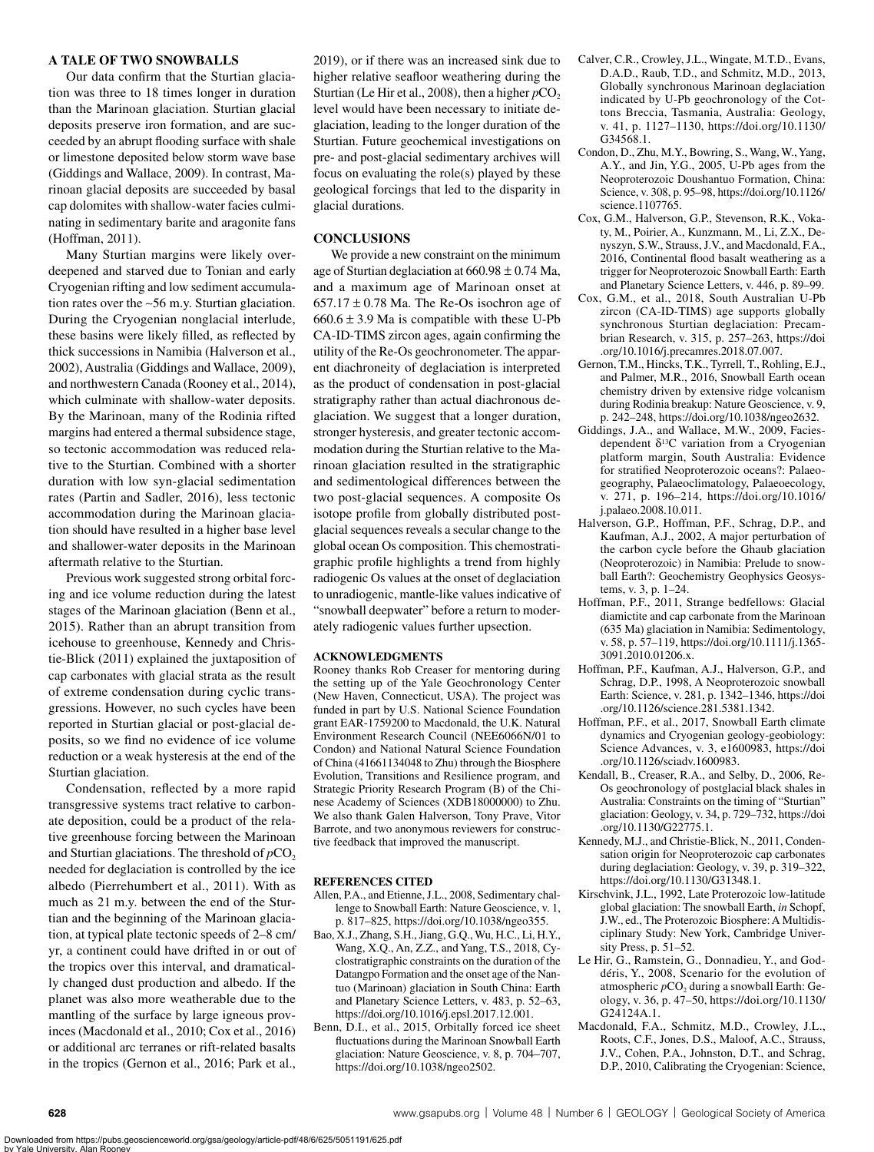# **A TALE OF TWO SNOWBALLS**

Our data confirm that the Sturtian glaciation was three to 18 times longer in duration than the Marinoan glaciation. Sturtian glacial deposits preserve iron formation, and are succeeded by an abrupt flooding surface with shale or limestone deposited below storm wave base (Giddings and Wallace, 2009). In contrast, Marinoan glacial deposits are succeeded by basal cap dolomites with shallow-water facies culminating in sedimentary barite and aragonite fans (Hoffman, 2011).

Many Sturtian margins were likely overdeepened and starved due to Tonian and early Cryogenian rifting and low sediment accumulation rates over the ∼56 m.y. Sturtian glaciation. During the Cryogenian nonglacial interlude, these basins were likely filled, as reflected by thick successions in Namibia (Halverson et al., 2002), Australia (Giddings and Wallace, 2009), and northwestern Canada (Rooney et al., 2014), which culminate with shallow-water deposits. By the Marinoan, many of the Rodinia rifted margins had entered a thermal subsidence stage, so tectonic accommodation was reduced relative to the Sturtian. Combined with a shorter duration with low syn-glacial sedimentation rates (Partin and Sadler, 2016), less tectonic accommodation during the Marinoan glaciation should have resulted in a higher base level and shallower-water deposits in the Marinoan aftermath relative to the Sturtian.

Previous work suggested strong orbital forcing and ice volume reduction during the latest stages of the Marinoan glaciation (Benn et al., 2015). Rather than an abrupt transition from icehouse to greenhouse, Kennedy and Christie-Blick (2011) explained the juxtaposition of cap carbonates with glacial strata as the result of extreme condensation during cyclic transgressions. However, no such cycles have been reported in Sturtian glacial or post-glacial deposits, so we find no evidence of ice volume reduction or a weak hysteresis at the end of the Sturtian glaciation.

Condensation, reflected by a more rapid transgressive systems tract relative to carbonate deposition, could be a product of the relative greenhouse forcing between the Marinoan and Sturtian glaciations. The threshold of  $pCO<sub>2</sub>$ needed for deglaciation is controlled by the ice albedo (Pierrehumbert et al., 2011). With as much as 21 m.y. between the end of the Sturtian and the beginning of the Marinoan glaciation, at typical plate tectonic speeds of 2–8 cm/ yr, a continent could have drifted in or out of the tropics over this interval, and dramatically changed dust production and albedo. If the planet was also more weatherable due to the mantling of the surface by large igneous provinces (Macdonald et al., 2010; Cox et al., 2016) or additional arc terranes or rift-related basalts in the tropics (Gernon et al., 2016; Park et al.,

2019), or if there was an increased sink due to higher relative seafloor weathering during the Sturtian (Le Hir et al., 2008), then a higher  $pCO<sub>2</sub>$ level would have been necessary to initiate deglaciation, leading to the longer duration of the Sturtian. Future geochemical investigations on pre- and post-glacial sedimentary archives will focus on evaluating the role(s) played by these geological forcings that led to the disparity in glacial durations.

# **CONCLUSIONS**

We provide a new constraint on the minimum age of Sturtian deglaciation at  $660.98 \pm 0.74$  Ma, and a maximum age of Marinoan onset at  $657.17 \pm 0.78$  Ma. The Re-Os isochron age of  $660.6 \pm 3.9$  Ma is compatible with these U-Pb CA-ID-TIMS zircon ages, again confirming the utility of the Re-Os geochronometer. The apparent diachroneity of deglaciation is interpreted as the product of condensation in post-glacial stratigraphy rather than actual diachronous deglaciation. We suggest that a longer duration, stronger hysteresis, and greater tectonic accommodation during the Sturtian relative to the Marinoan glaciation resulted in the stratigraphic and sedimentological differences between the two post-glacial sequences. A composite Os isotope profile from globally distributed postglacial sequences reveals a secular change to the global ocean Os composition. This chemostratigraphic profile highlights a trend from highly radiogenic Os values at the onset of deglaciation to unradiogenic, mantle-like values indicative of "snowball deepwater" before a return to moderately radiogenic values further upsection.

## **ACKNOWLEDGMENTS**

Rooney thanks Rob Creaser for mentoring during the setting up of the Yale Geochronology Center (New Haven, Connecticut, USA). The project was funded in part by U.S. National Science Foundation grant EAR-1759200 to Macdonald, the U.K. Natural Environment Research Council (NEE6066N/01 to Condon) and National Natural Science Foundation of China (41661134048 to Zhu) through the Biosphere Evolution, Transitions and Resilience program, and Strategic Priority Research Program (B) of the Chinese Academy of Sciences (XDB18000000) to Zhu. We also thank Galen Halverson, Tony Prave, Vitor Barrote, and two anonymous reviewers for constructive feedback that improved the manuscript.

#### **REFERENCES CITED**

- Allen, P.A., and Etienne, J.L., 2008, Sedimentary challenge to Snowball Earth: Nature Geoscience, v. 1, p. 817–825, [https://doi.org/10.1038/ngeo355.](https://doi.org/10.1038/ngeo355)
- Bao, X.J., Zhang, S.H., Jiang, G.Q., Wu, H.C., Li, H.Y., Wang, X.Q., An, Z.Z., and Yang, T.S., 2018, Cyclostratigraphic constraints on the duration of the Datangpo Formation and the onset age of the Nantuo (Marinoan) glaciation in South China: Earth and Planetary Science Letters, v. 483, p. 52–63, [https://doi.org/10.1016/j.epsl.2017.12.001.](https://doi.org/10.1016/j.epsl.2017.12.001)
- Benn, D.I., et al., 2015, Orbitally forced ice sheet fluctuations during the Marinoan Snowball Earth glaciation: Nature Geoscience, v. 8, p. 704–707, [https://doi.org/10.1038/ngeo2502.](https://doi.org/10.1038/ngeo2502)
- Calver, C.R., Crowley, J.L., Wingate, M.T.D., Evans, D.A.D., Raub, T.D., and Schmitz, M.D., 2013, Globally synchronous Marinoan deglaciation indicated by U-Pb geochronology of the Cottons Breccia, Tasmania, Australia: Geology, v. 41, p. 1127–1130, [https://doi.org/10.1130/](https://doi.org/10.1130/G34568.1) [G34568.1](https://doi.org/10.1130/G34568.1).
- Condon, D., Zhu, M.Y., Bowring, S., Wang, W., Yang, A.Y., and Jin, Y.G., 2005, U-Pb ages from the Neoproterozoic Doushantuo Formation, China: Science, v. 308, p. 95–98, [https://doi.org/10.1126/](https://doi.org/10.1126/science.1107765) [science.1107765.](https://doi.org/10.1126/science.1107765)
- Cox, G.M., Halverson, G.P., Stevenson, R.K., Vokaty, M., Poirier, A., Kunzmann, M., Li, Z.X., Denyszyn, S.W., Strauss, J.V., and Macdonald, F.A., 2016, Continental flood basalt weathering as a trigger for Neoproterozoic Snowball Earth: Earth and Planetary Science Letters, v. 446, p. 89–99.
- Cox, G.M., et al., 2018, South Australian U-Pb zircon (CA-ID-TIMS) age supports globally synchronous Sturtian deglaciation: Precambrian Research, v. 315, p. 257–263, [https://doi](https://doi.org/10.1016/j.precamres.2018.07.007) [.org/10.1016/j.precamres.2018.07.007](https://doi.org/10.1016/j.precamres.2018.07.007).
- Gernon, T.M., Hincks, T.K., Tyrrell, T., Rohling, E.J., and Palmer, M.R., 2016, Snowball Earth ocean chemistry driven by extensive ridge volcanism during Rodinia breakup: Nature Geoscience, v. 9, p. 242–248, [https://doi.org/10.1038/ngeo2632.](https://doi.org/10.1038/ngeo2632)
- Giddings, J.A., and Wallace, M.W., 2009, Faciesdependent  $\delta^{13}$ C variation from a Cryogenian platform margin, South Australia: Evidence for stratified Neoproterozoic oceans?: Palaeogeography, Palaeoclimatology, Palaeoecology, v. 271, p. 196–214, [https://doi.org/10.1016/](https://doi.org/10.1016/j.palaeo.2008.10.011) [j.palaeo.2008.10.011](https://doi.org/10.1016/j.palaeo.2008.10.011).
- Halverson, G.P., Hoffman, P.F., Schrag, D.P., and Kaufman, A.J., 2002, A major perturbation of the carbon cycle before the Ghaub glaciation (Neoproterozoic) in Namibia: Prelude to snowball Earth?: Geochemistry Geophysics Geosystems, v. 3, p. 1–24.
- Hoffman, P.F., 2011, Strange bedfellows: Glacial diamictite and cap carbonate from the Marinoan (635 Ma) glaciation in Namibia: Sedimentology, v. 58, p. 57–119, [https://doi.org/10.1111/j.1365-](https://doi.org/10.1111/j.1365-3091.2010.01206.x) [3091.2010.01206.x](https://doi.org/10.1111/j.1365-3091.2010.01206.x).
- Hoffman, P.F., Kaufman, A.J., Halverson, G.P., and Schrag, D.P., 1998, A Neoproterozoic snowball Earth: Science, v. 281, p. 1342–1346, [https://doi](https://doi.org/10.1126/science.281.5381.1342) [.org/10.1126/science.281.5381.1342.](https://doi.org/10.1126/science.281.5381.1342)
- Hoffman, P.F., et al., 2017, Snowball Earth climate dynamics and Cryogenian geology-geobiology: Science Advances, v. 3, e1600983, [https://doi](https://doi.org/10.1126/sciadv.1600983) [.org/10.1126/sciadv.1600983.](https://doi.org/10.1126/sciadv.1600983)
- Kendall, B., Creaser, R.A., and Selby, D., 2006, Re-Os geochronology of postglacial black shales in Australia: Constraints on the timing of "Sturtian" glaciation: Geology, v. 34, p. 729–732, [https://doi](https://doi.org/10.1130/G22775.1) [.org/10.1130/G22775.1.](https://doi.org/10.1130/G22775.1)
- Kennedy, M.J., and Christie-Blick, N., 2011, Condensation origin for Neoproterozoic cap carbonates during deglaciation: Geology, v. 39, p. 319–322, <https://doi.org/10.1130/G31348.1>.
- Kirschvink, J.L., 1992, Late Proterozoic low-latitude global glaciation: The snowball Earth, *in* Schopf, J.W., ed., The Proterozoic Biosphere: A Multidisciplinary Study: New York, Cambridge University Press, p. 51–52.
- Le Hir, G., Ramstein, G., Donnadieu, Y., and Goddéris, Y., 2008, Scenario for the evolution of atmospheric  $pCO$ , during a snowball Earth: Geology, v. 36, p. 47–50, [https://doi.org/10.1130/](https://doi.org/10.1130/G24124A.1) [G24124A.1.](https://doi.org/10.1130/G24124A.1)
- Macdonald, F.A., Schmitz, M.D., Crowley, J.L., Roots, C.F., Jones, D.S., Maloof, A.C., Strauss, J.V., Cohen, P.A., Johnston, D.T., and Schrag, D.P., 2010, Calibrating the Cryogenian: Science,